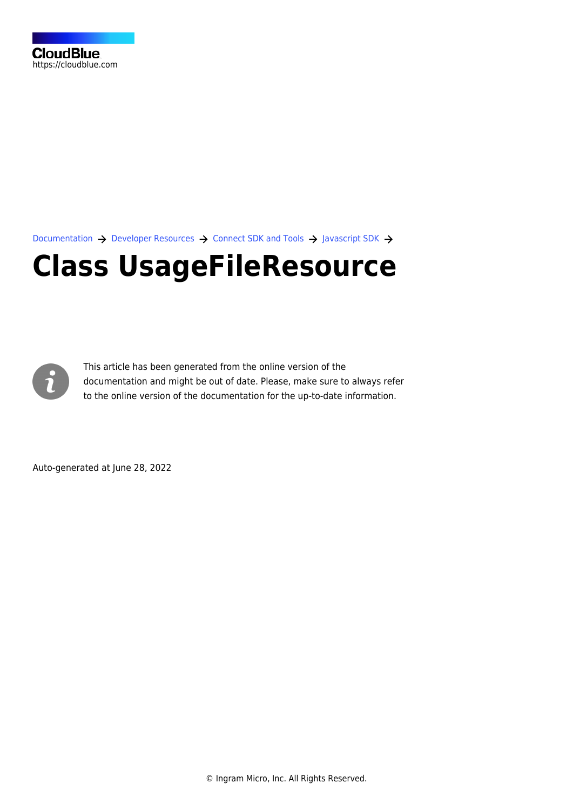[Documentation](https://connect.cloudblue.com/documentation)  $\rightarrow$  [Developer Resources](https://connect.cloudblue.com/community/developers/)  $\rightarrow$  [Connect SDK and Tools](https://connect.cloudblue.com/community/developers/sdk/)  $\rightarrow$  [Javascript SDK](https://connect.cloudblue.com/community/developers/sdk/javascript-sdk/)  $\rightarrow$ 

# **[Class UsageFileResource](https://connect.cloudblue.com/community/developers/sdk/javascript-sdk/class-usagefileresource/)**



This article has been generated from the online version of the documentation and might be out of date. Please, make sure to always refer to the online version of the documentation for the up-to-date information.

Auto-generated at June 28, 2022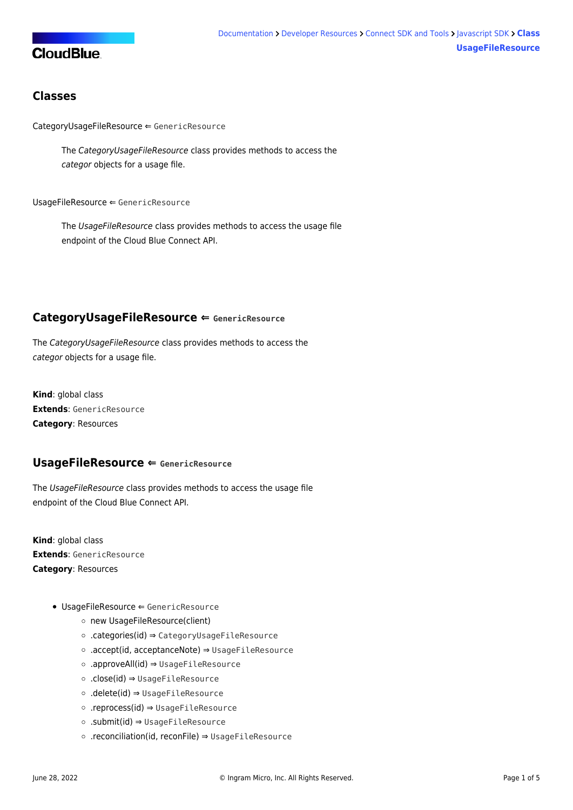# **CloudBlue**

## **Classes**

[CategoryUsageFileResource](#page-1-0) ⇐ GenericResource

The CategoryUsageFileResource class provides methods to access the categor objects for a usage file.

[UsageFileResource](#page-1-1) ⇐ GenericResource

The UsageFileResource class provides methods to access the usage file endpoint of the Cloud Blue Connect API.

## <span id="page-1-0"></span>**CategoryUsageFileResource ⇐ GenericResource**

The CategoryUsageFileResource class provides methods to access the categor objects for a usage file.

**Kind**: global class **Extends**: GenericResource **Category**: Resources

## <span id="page-1-1"></span>**UsageFileResource ⇐ GenericResource**

The UsageFileResource class provides methods to access the usage file endpoint of the Cloud Blue Connect API.

**Kind**: global class **Extends**: GenericResource **Category**: Resources

- [UsageFileResource](#page-1-1) ⇐ GenericResource
	- [new UsageFileResource\(client\)](#page-2-0)
	- [.categories\(id\)](#page-2-1) ⇒ [CategoryUsageFileResource](#page-1-0)
	- [.accept\(id, acceptanceNote\)](#page-2-2) ⇒ [UsageFileResource](#page-1-1)
	- [.approveAll\(id\)](#page-2-3) ⇒ [UsageFileResource](#page-1-1)
	- [.close\(id\)](#page-3-0) ⇒ [UsageFileResource](#page-1-1)
	- [.delete\(id\)](#page-3-1) ⇒ [UsageFileResource](#page-1-1)
	- [.reprocess\(id\)](#page-3-2) ⇒ [UsageFileResource](#page-1-1)
	- [.submit\(id\)](#page-3-3) ⇒ [UsageFileResource](#page-1-1)
	- [.reconciliation\(id, reconFile\)](#page-4-0) ⇒ [UsageFileResource](#page-1-1)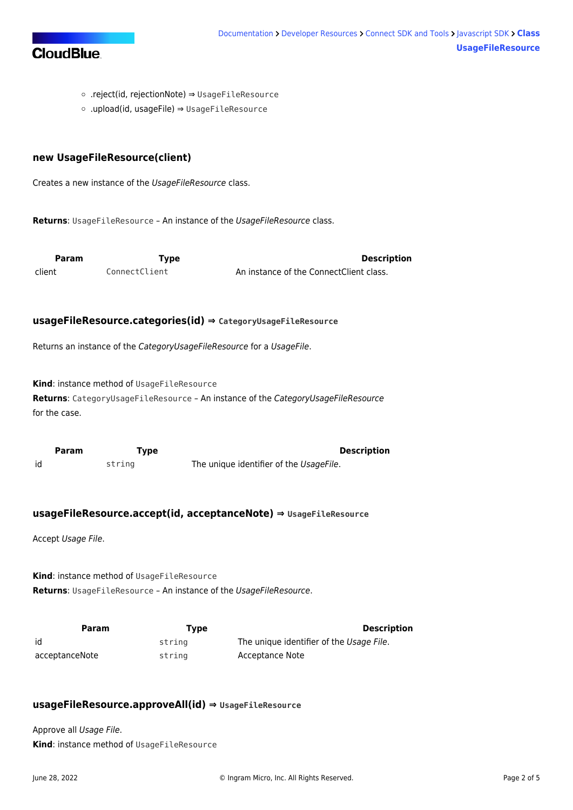

- [.reject\(id, rejectionNote\)](#page-4-1) ⇒ [UsageFileResource](#page-1-1)
- [.upload\(id, usageFile\)](#page-4-2) ⇒ [UsageFileResource](#page-1-1)

#### <span id="page-2-0"></span>**new UsageFileResource(client)**

Creates a new instance of the UsageFileResource class.

Returns: [UsageFileResource](#page-1-1) - An instance of the UsageFileResource class.

<span id="page-2-1"></span>

| Param  | Tvpe          | <b>Description</b>                      |
|--------|---------------|-----------------------------------------|
| client | ConnectClient | An instance of the ConnectClient class. |

#### **usageFileResource.categories(id) ⇒ [CategoryUsageFileResource](#page-1-0)**

Returns an instance of the CategoryUsageFileResource for a UsageFile.

**Kind**: instance method of [UsageFileResource](#page-1-1)

**Returns**: [CategoryUsageFileResource](#page-1-0) – An instance of the CategoryUsageFileResource for the case.

<span id="page-2-2"></span>

| <b>Param</b> | Type   | <b>Description</b>                      |
|--------------|--------|-----------------------------------------|
| id           | string | The unique identifier of the UsageFile. |

#### **usageFileResource.accept(id, acceptanceNote) ⇒ [UsageFileResource](#page-1-1)**

Accept Usage File.

**Kind**: instance method of [UsageFileResource](#page-1-1) **Returns:** [UsageFileResource](#page-1-1) - An instance of the UsageFileResource.

**Param Type Type Description** id string The unique identifier of the Usage File. acceptanceNote string Acceptance Note

#### <span id="page-2-3"></span>**usageFileResource.approveAll(id) ⇒ [UsageFileResource](#page-1-1)**

Approve all Usage File. **Kind**: instance method of [UsageFileResource](#page-1-1)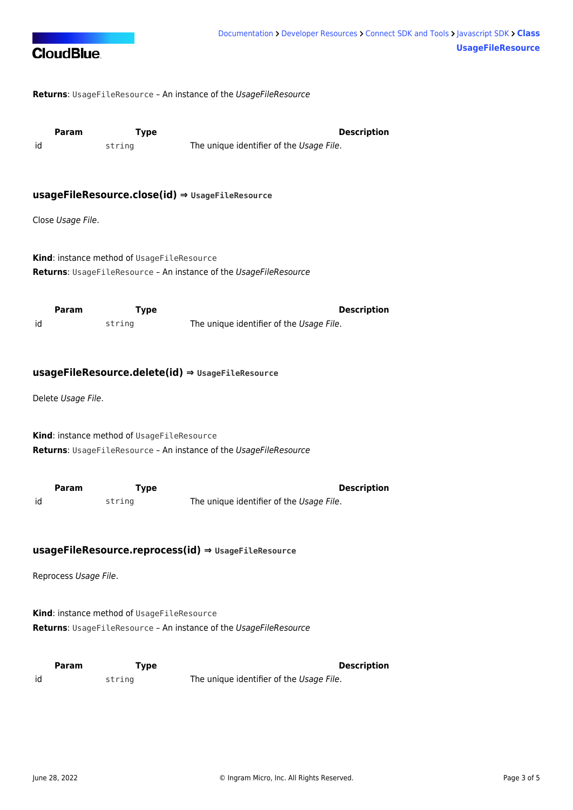

**Returns**: [UsageFileResource](#page-1-1) – An instance of the UsageFileResource

<span id="page-3-0"></span>**Param Type Type Description** id string The unique identifier of the Usage File.

#### **usageFileResource.close(id) ⇒ [UsageFileResource](#page-1-1)**

Close Usage File.

**Kind**: instance method of [UsageFileResource](#page-1-1) **Returns**: [UsageFileResource](#page-1-1) – An instance of the UsageFileResource

<span id="page-3-1"></span>**Param Type Type Description** id string The unique identifier of the Usage File.

#### **usageFileResource.delete(id) ⇒ [UsageFileResource](#page-1-1)**

Delete Usage File.

**Kind**: instance method of [UsageFileResource](#page-1-1) **Returns**: [UsageFileResource](#page-1-1) – An instance of the UsageFileResource

<span id="page-3-2"></span>

|    | <b>Param</b> | Tvpe   | <b>Description</b>                       |
|----|--------------|--------|------------------------------------------|
| id |              | string | The unique identifier of the Usage File. |

#### **usageFileResource.reprocess(id) ⇒ [UsageFileResource](#page-1-1)**

Reprocess Usage File.

**Kind**: instance method of [UsageFileResource](#page-1-1) Returns: [UsageFileResource](#page-1-1) - An instance of the UsageFileResource

<span id="page-3-3"></span>

|    | <b>Param</b> | Type   | Description                              |
|----|--------------|--------|------------------------------------------|
| id |              | string | The unique identifier of the Usage File. |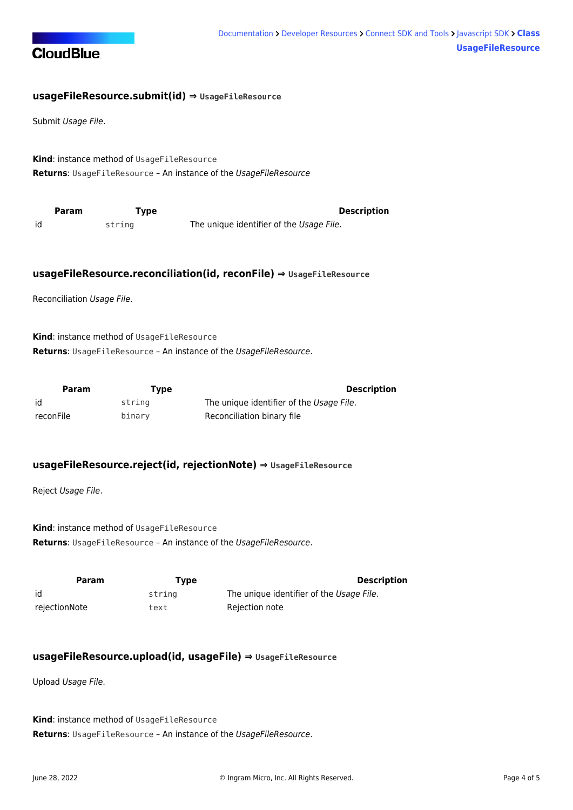

#### **usageFileResource.submit(id) ⇒ [UsageFileResource](#page-1-1)**

Submit Usage File.

**Kind**: instance method of [UsageFileResource](#page-1-1) Returns: [UsageFileResource](#page-1-1) - An instance of the UsageFileResource

<span id="page-4-0"></span>

| Param | Tvpe   | <b>Description</b>                       |
|-------|--------|------------------------------------------|
| id    | string | The unique identifier of the Usage File. |

#### **usageFileResource.reconciliation(id, reconFile) ⇒ [UsageFileResource](#page-1-1)**

Reconciliation Usage File.

**Kind**: instance method of [UsageFileResource](#page-1-1) Returns: [UsageFileResource](#page-1-1) - An instance of the UsageFileResource.

| Param     | Type   | <b>Description</b>                       |
|-----------|--------|------------------------------------------|
| id        | string | The unique identifier of the Usage File. |
| reconFile | binary | Reconciliation binary file               |

#### <span id="page-4-1"></span>**usageFileResource.reject(id, rejectionNote) ⇒ [UsageFileResource](#page-1-1)**

Reject Usage File.

**Kind**: instance method of [UsageFileResource](#page-1-1) **Returns:** [UsageFileResource](#page-1-1) - An instance of the UsageFileResource.

| Param         | Type   | <b>Description</b>                       |
|---------------|--------|------------------------------------------|
| id            | strina | The unique identifier of the Usage File. |
| rejectionNote | text   | Rejection note                           |

#### <span id="page-4-2"></span>**usageFileResource.upload(id, usageFile) ⇒ [UsageFileResource](#page-1-1)**

Upload Usage File.

**Kind**: instance method of [UsageFileResource](#page-1-1) **Returns**: [UsageFileResource](#page-1-1) – An instance of the UsageFileResource.